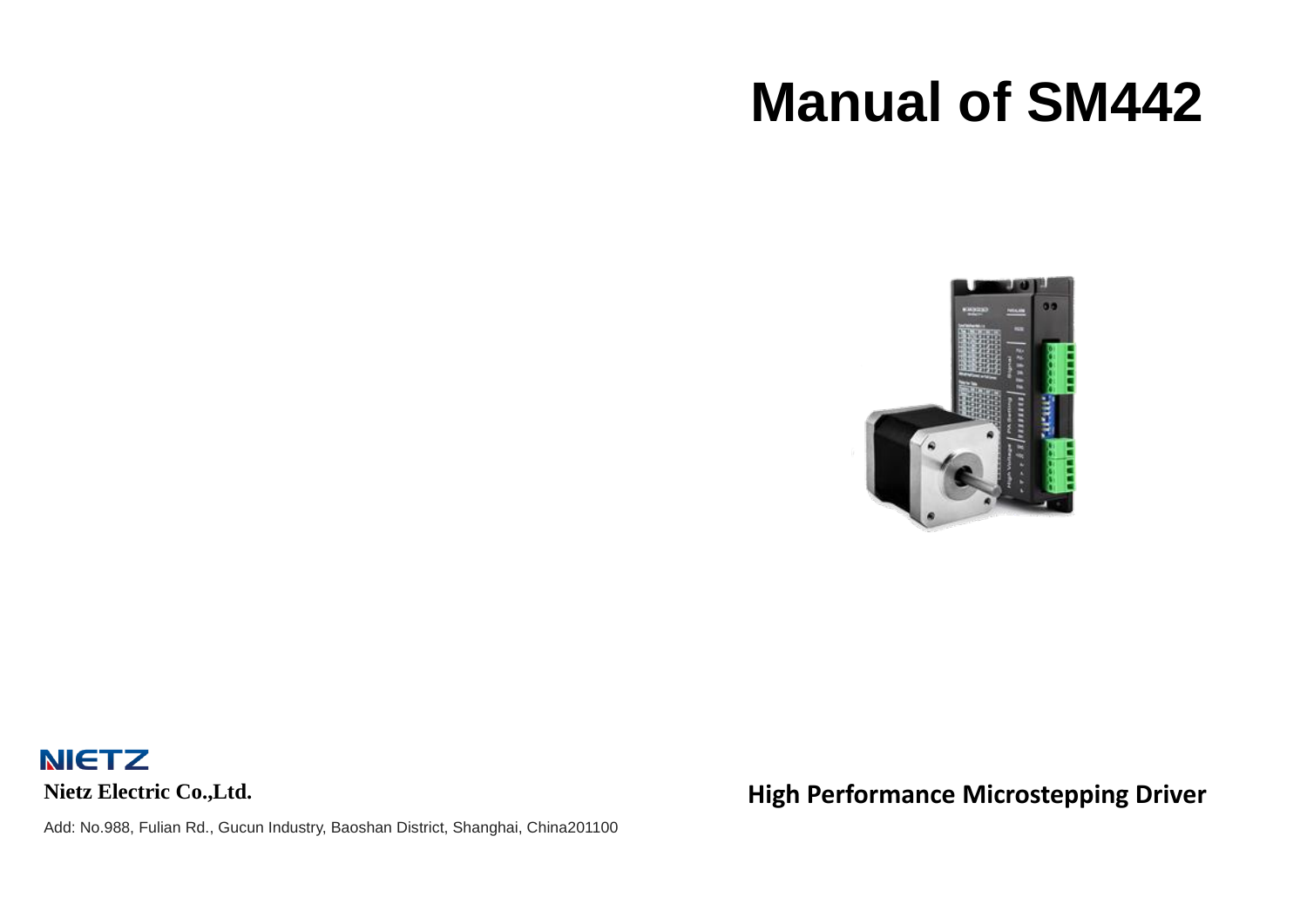# **Manual of SM442**



**NIETZ Nietz Electric Co.,Ltd.**

Add: No.988, Fulian Rd., Gucun Industry, Baoshan District, Shanghai, China201100

**High Performance Microstepping Driver**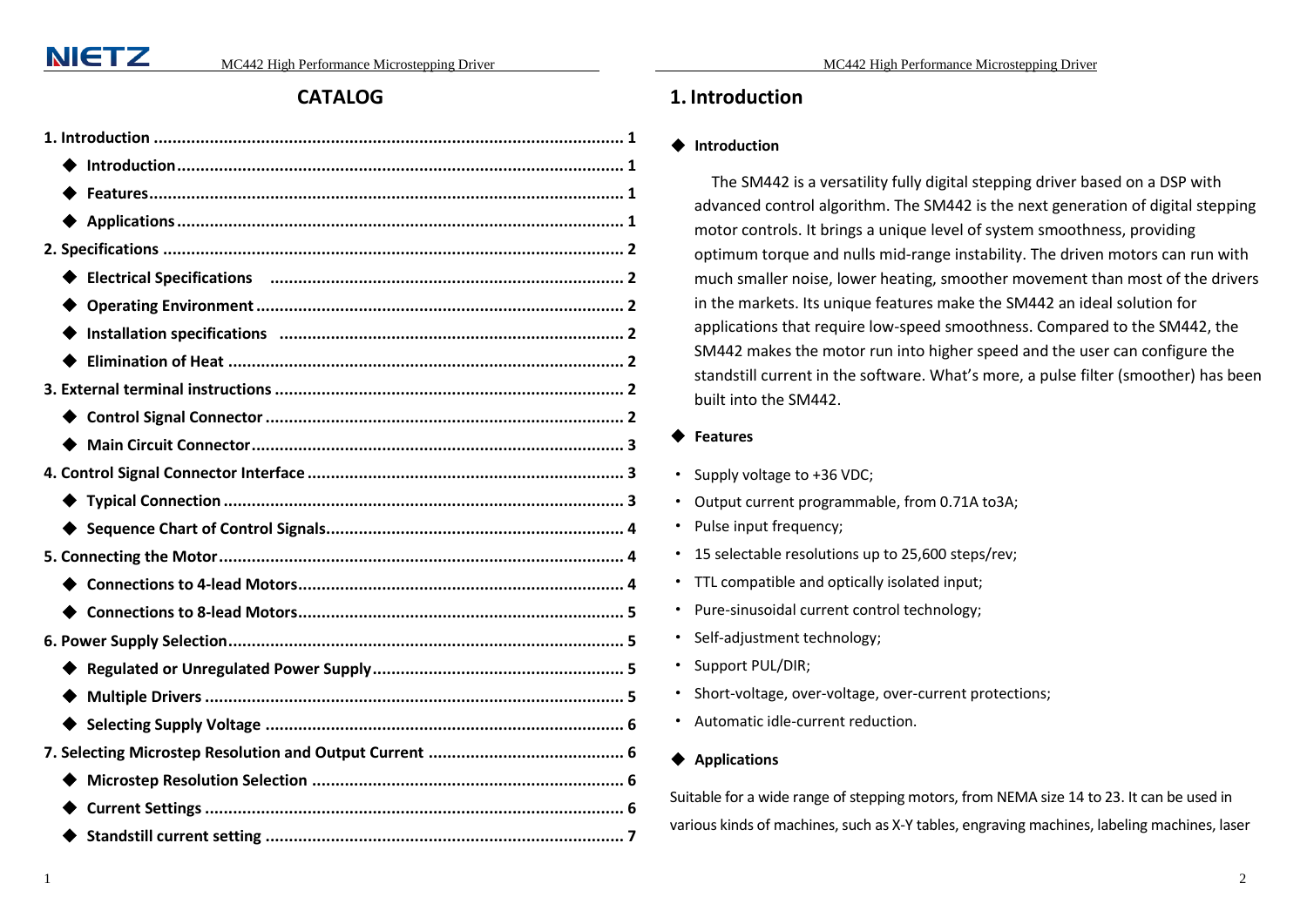#### **CATALOG**

| Electrical Specifications (and all announcement control of the control of the control of the Electrical Specifications (and the control of the control of the control of the control of the control of the control of the cont |
|--------------------------------------------------------------------------------------------------------------------------------------------------------------------------------------------------------------------------------|
|                                                                                                                                                                                                                                |
|                                                                                                                                                                                                                                |
|                                                                                                                                                                                                                                |
|                                                                                                                                                                                                                                |
|                                                                                                                                                                                                                                |
|                                                                                                                                                                                                                                |
|                                                                                                                                                                                                                                |
|                                                                                                                                                                                                                                |
|                                                                                                                                                                                                                                |
|                                                                                                                                                                                                                                |
|                                                                                                                                                                                                                                |
|                                                                                                                                                                                                                                |
|                                                                                                                                                                                                                                |
|                                                                                                                                                                                                                                |
|                                                                                                                                                                                                                                |
|                                                                                                                                                                                                                                |
|                                                                                                                                                                                                                                |
|                                                                                                                                                                                                                                |
|                                                                                                                                                                                                                                |
|                                                                                                                                                                                                                                |

#### <span id="page-1-0"></span>**1. Introduction**

#### <span id="page-1-1"></span>◆ **Introduction**

The SM442 is a versatility fully digital stepping driver based on a DSP with advanced control algorithm. The SM442 is the next generation of digital stepping motor controls. It brings a unique level of system smoothness, providing optimum torque and nulls mid-range instability. The driven motors can run with much smaller noise, lower heating, smoother movement than most of the drivers in the markets. Its unique features make the SM442 an ideal solution for applications that require low-speed smoothness. Compared to the SM442, the SM442 makes the motor run into higher speed and the user can configure the standstill current in the software. What's more, a pulse filter (smoother) has been built into the SM442.

#### <span id="page-1-2"></span>◆ **Features**

- · Supply voltage to +36 VDC;
- · Output current programmable, from 0.71A to3A;
- · Pulse input frequency;
- · 15 selectable resolutions up to 25,600 steps/rev;
- · TTL compatible and optically isolated input;
- · Pure-sinusoidal current control technology;
- · Self-adjustment technology;
- · Support PUL/DIR;
- · Short-voltage, over-voltage, over-current protections;
- · Automatic idle-current reduction.

#### <span id="page-1-3"></span>◆ **Applications**

Suitable for a wide range of stepping motors, from NEMA size 14 to 23. It can be used in various kinds of machines, such as X-Y tables, engraving machines, labeling machines, laser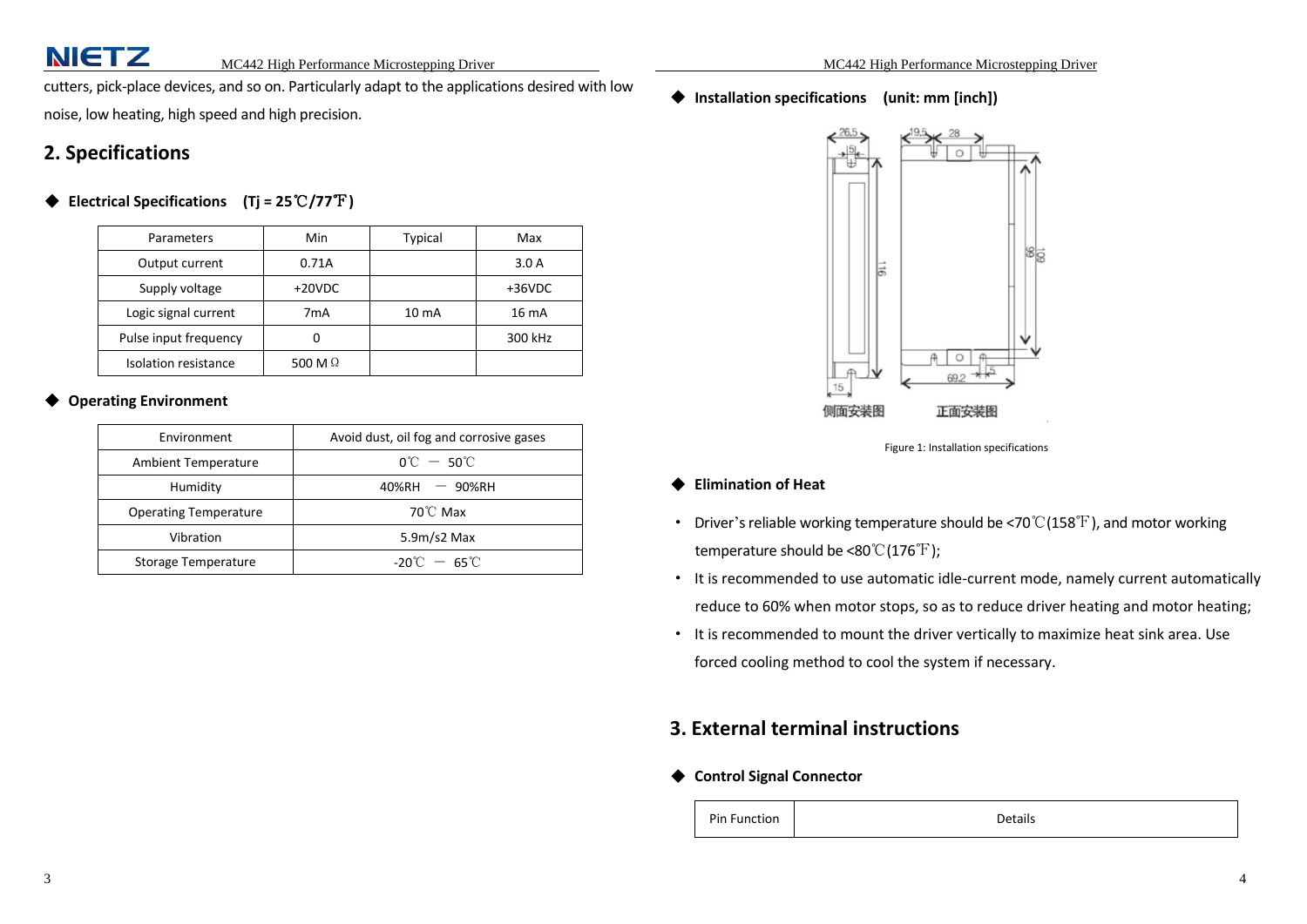cutters, pick-place devices, and so on. Particularly adapt to the applications desired with low noise, low heating, high speed and high precision.

#### <span id="page-2-0"></span>**2. Specifications**

#### <span id="page-2-1"></span>◆ **Electrical Specifications (Tj = 25**℃**/77**℉**)**

| Parameters            | Min            | <b>Typical</b>    | Max      |
|-----------------------|----------------|-------------------|----------|
| Output current        | 0.71A          |                   | 3.0A     |
| Supply voltage        | $+20VDC$       |                   | $+36VDC$ |
| Logic signal current  | 7mA            | 10 <sub>m</sub> A | 16 mA    |
| Pulse input frequency | IJ             |                   | 300 kHz  |
| Isolation resistance  | 500 M $\Omega$ |                   |          |

#### <span id="page-2-2"></span>**Operating Environment**

<span id="page-2-3"></span>

| Environment                  | Avoid dust, oil fog and corrosive gases |
|------------------------------|-----------------------------------------|
| <b>Ambient Temperature</b>   | $0^{\circ}$ C $-50^{\circ}$ C           |
| Humidity                     | $40\%$ RH $-90\%$ RH                    |
| <b>Operating Temperature</b> | $70^{\circ}$ C Max                      |
| Vibration                    | $5.9m/s2$ Max                           |
| Storage Temperature          | $-20^{\circ}$ C $-65^{\circ}$ C         |

◆ **Installation specifications (unit: mm [inch])**



Figure 1: Installation specifications

- <span id="page-2-4"></span>◆ **Elimination of Heat**
- · Driver's reliable working temperature should be <70℃(158℉), and motor working temperature should be <80℃(176°F);
- · It is recommended to use automatic idle-current mode, namely current automatically reduce to 60% when motor stops, so as to reduce driver heating and motor heating;
- · It is recommended to mount the driver vertically to maximize heat sink area. Use forced cooling method to cool the system if necessary.

#### <span id="page-2-5"></span>**3. External terminal instructions**

<span id="page-2-6"></span>◆ **Control Signal Connector**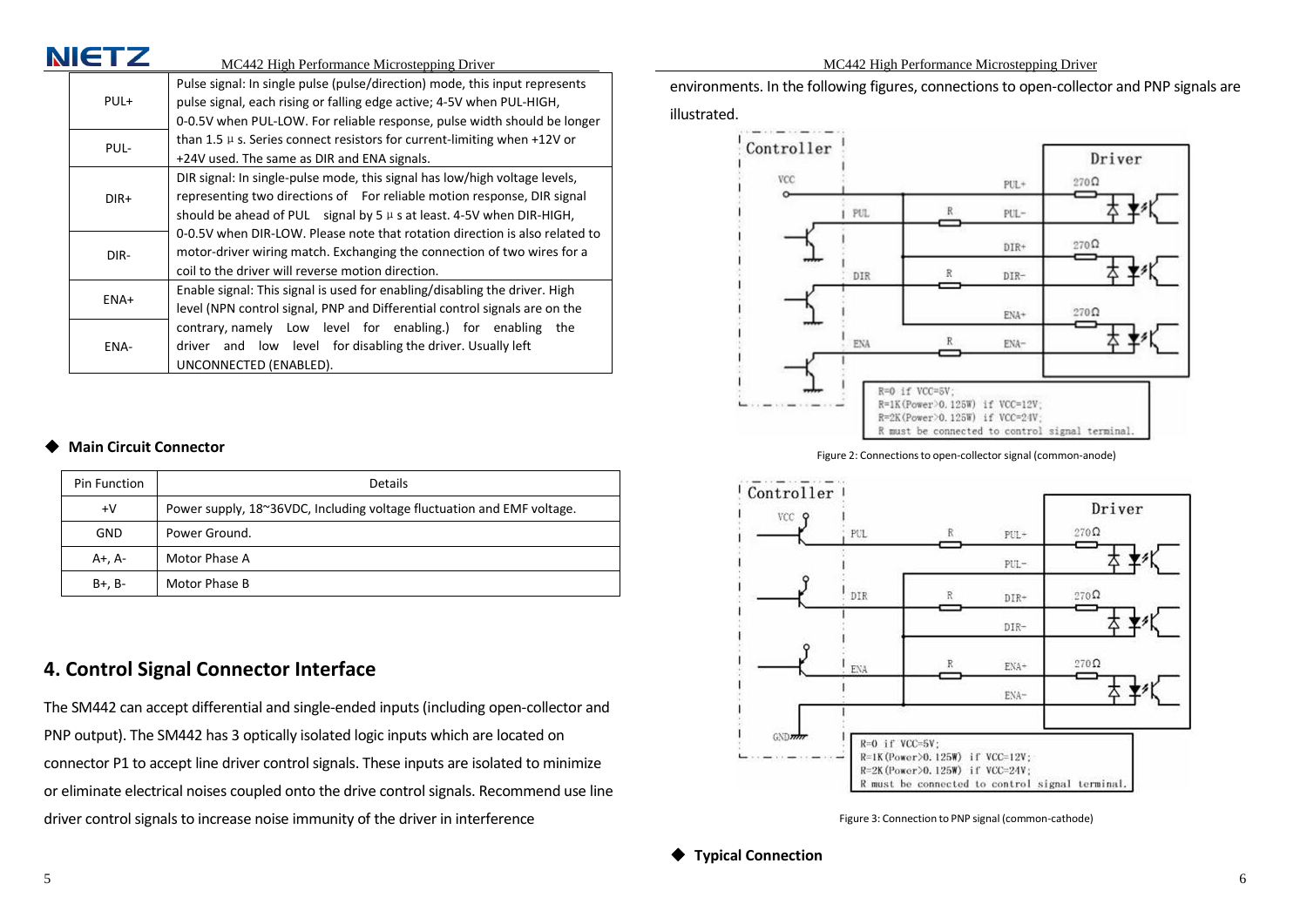|                                                     |                                                                              | MC442 High Performance Microstepping Driver                                                                                                          |  |  |  |
|-----------------------------------------------------|------------------------------------------------------------------------------|------------------------------------------------------------------------------------------------------------------------------------------------------|--|--|--|
|                                                     | PUL+                                                                         | Pulse signal: In single pulse (pulse/direction) mode, this input represents<br>pulse signal, each rising or falling edge active; 4-5V when PUL-HIGH, |  |  |  |
|                                                     |                                                                              | 0-0.5V when PUL-LOW. For reliable response, pulse width should be longer                                                                             |  |  |  |
|                                                     | than 1.5 $\mu$ s. Series connect resistors for current-limiting when +12V or |                                                                                                                                                      |  |  |  |
| PUL-<br>+24V used. The same as DIR and ENA signals. |                                                                              |                                                                                                                                                      |  |  |  |
|                                                     |                                                                              | DIR signal: In single-pulse mode, this signal has low/high voltage levels,                                                                           |  |  |  |
|                                                     | $DIR+$                                                                       | representing two directions of For reliable motion response, DIR signal                                                                              |  |  |  |
|                                                     | should be ahead of PUL signal by $5 \mu s$ at least. 4-5V when DIR-HIGH,     |                                                                                                                                                      |  |  |  |
|                                                     | 0-0.5V when DIR-LOW. Please note that rotation direction is also related to  |                                                                                                                                                      |  |  |  |
|                                                     | DIR-                                                                         | motor-driver wiring match. Exchanging the connection of two wires for a                                                                              |  |  |  |
|                                                     | coil to the driver will reverse motion direction.                            |                                                                                                                                                      |  |  |  |
|                                                     |                                                                              | Enable signal: This signal is used for enabling/disabling the driver. High                                                                           |  |  |  |
| ENA+                                                |                                                                              | level (NPN control signal, PNP and Differential control signals are on the                                                                           |  |  |  |
|                                                     |                                                                              | contrary, namely Low level for enabling.) for enabling<br>the                                                                                        |  |  |  |
|                                                     | ENA-                                                                         | driver and low level for disabling the driver. Usually left                                                                                          |  |  |  |
|                                                     |                                                                              | UNCONNECTED (ENABLED).                                                                                                                               |  |  |  |

#### <span id="page-3-0"></span>**Main Circuit Connector**

NICT7

| Pin Function | <b>Details</b>                                                         |
|--------------|------------------------------------------------------------------------|
| $+V$         | Power supply, 18~36VDC, Including voltage fluctuation and EMF voltage. |
| <b>GND</b>   | Power Ground.                                                          |
| A+, A-       | Motor Phase A                                                          |
| B+, B-       | Motor Phase B                                                          |

### <span id="page-3-1"></span>**4. Control Signal Connector Interface**

The SM442 can accept differential and single-ended inputs (including open-collector and PNP output). The SM442 has 3 optically isolated logic inputs which are located on connector P1 to accept line driver control signals. These inputs are isolated to minimize or eliminate electrical noises coupled onto the drive control signals. Recommend use line driver control signals to increase noise immunity of the driver in interference

MC442 High Performance Microstepping Driver

environments. In the following figures, connections to open-collector and PNP signals are illustrated.



Figure 2: Connectionsto open-collector signal (common-anode)



<span id="page-3-2"></span>Figure 3: Connection to PNP signal (common-cathode)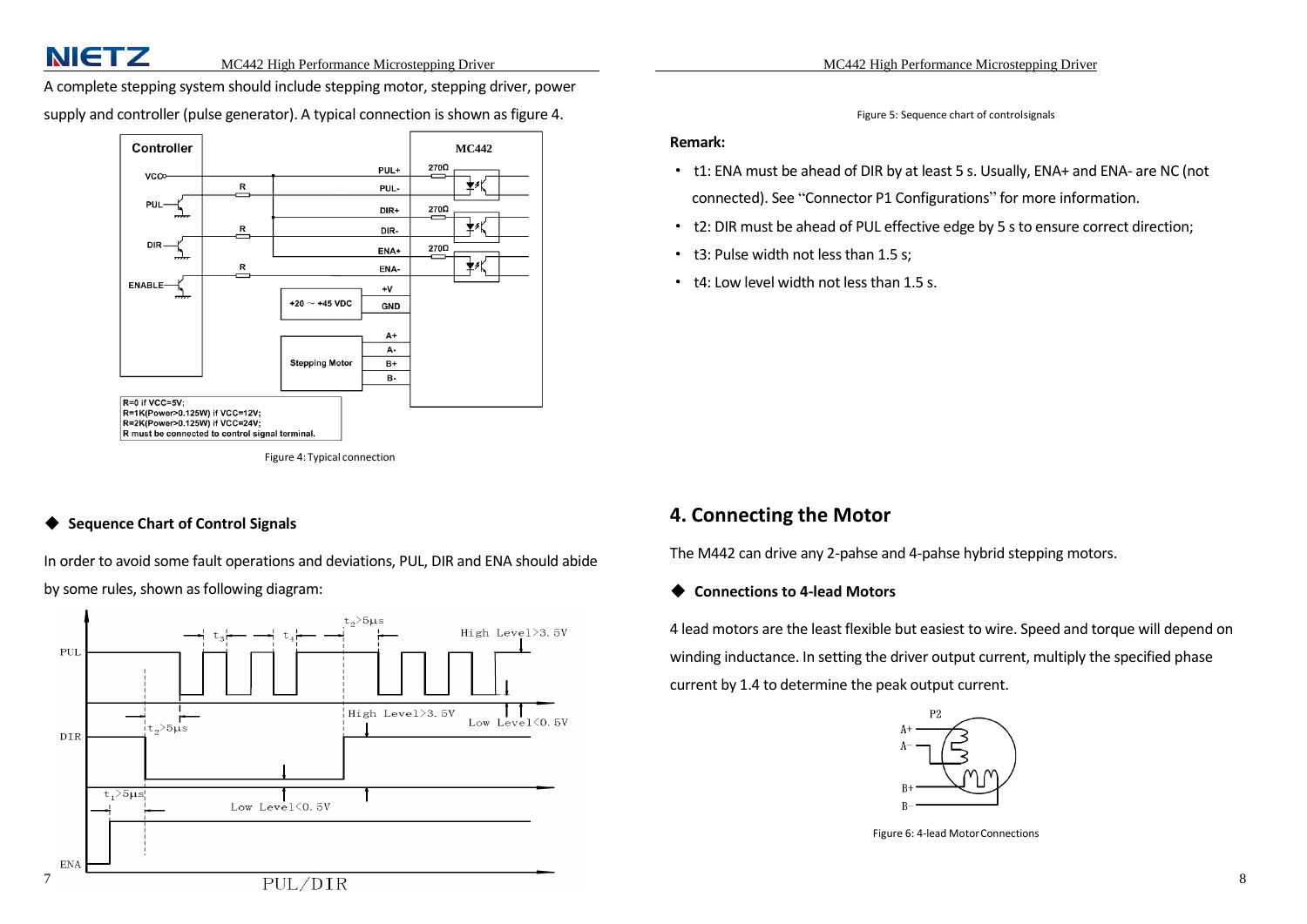A complete stepping system should include stepping motor, stepping driver, power

supply and controller (pulse generator). A typical connection is shown as figure 4.



Figure 4: Typical connection

#### <span id="page-4-0"></span>**Sequence Chart of Control Signals**

In order to avoid some fault operations and deviations, PUL, DIR and ENA should abide by some rules, shown as following diagram:



Figure 5: Sequence chart of controlsignals

#### **Remark:**

- · t1: ENA must be ahead of DIR by at least 5 s. Usually, ENA+ and ENA- are NC (not connected). See "Connector P1 Configurations" for more information.
- · t2: DIR must be ahead of PUL effective edge by 5 s to ensure correct direction;
- · t3: Pulse width not less than 1.5 s;
- · t4: Low level width not less than 1.5 s.

#### <span id="page-4-1"></span>**4. Connecting the Motor**

The M442 can drive any 2-pahse and 4-pahse hybrid stepping motors.

#### <span id="page-4-2"></span>◆ **Connections to 4-lead Motors**

4 lead motors are the least flexible but easiest to wire. Speed and torque will depend on winding inductance. In setting the driver output current, multiply the specified phase current by 1.4 to determine the peak output current.



Figure 6: 4-lead MotorConnections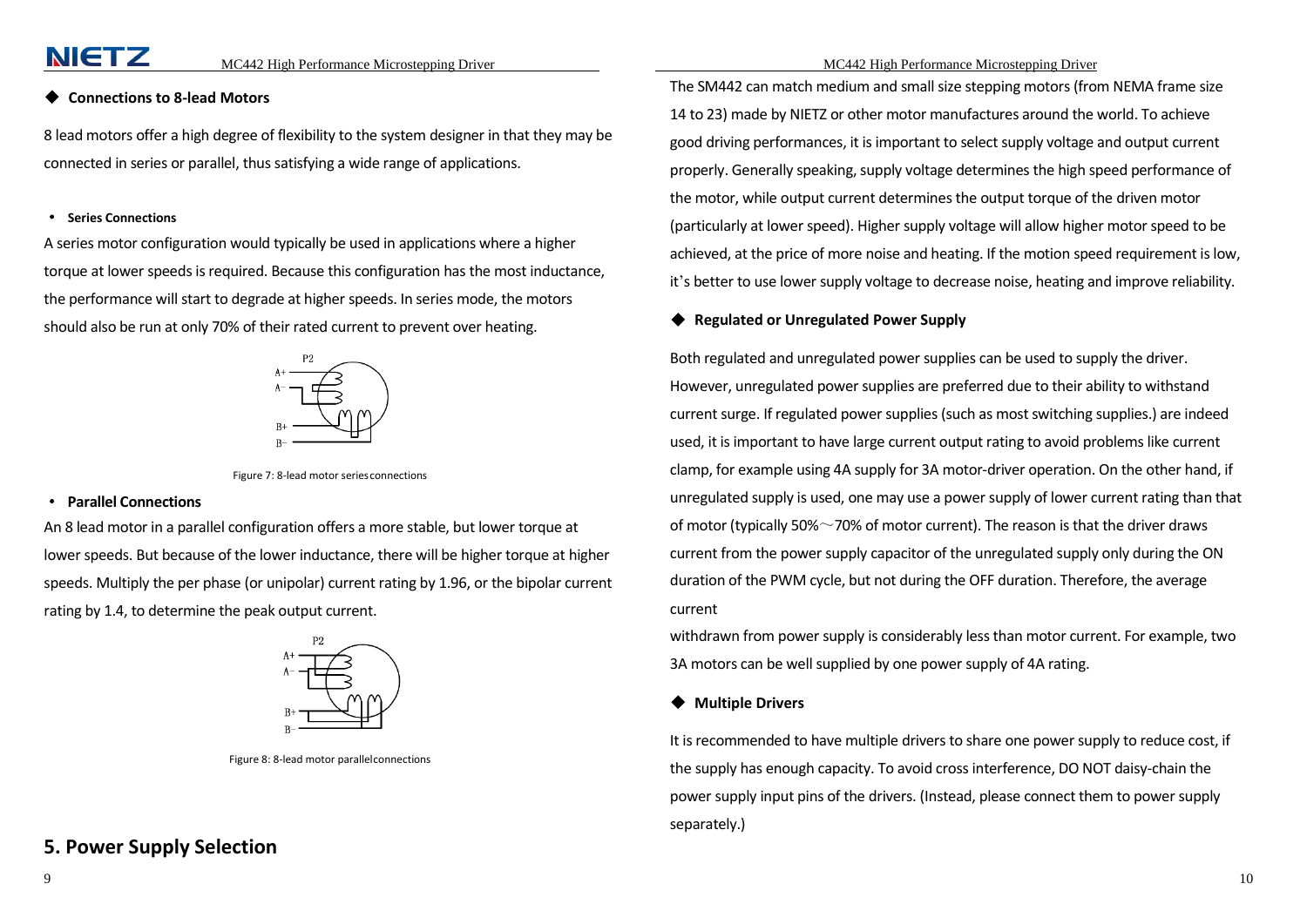**NIETZ** 

#### <span id="page-5-0"></span>**Connections to 8-lead Motors**

8 lead motors offer a high degree of flexibility to the system designer in that they may be connected in series or parallel, thus satisfying a wide range of applications.

#### · **Series Connections**

A series motor configuration would typically be used in applications where a higher torque at lower speeds is required. Because this configuration has the most inductance, the performance will start to degrade at higher speeds. In series mode, the motors should also be run at only 70% of their rated current to prevent over heating.



Figure 7: 8-lead motor seriesconnections

#### · **Parallel Connections**

An 8 lead motor in a parallel configuration offers a more stable, but lower torque at lower speeds. But because of the lower inductance, there will be higher torque at higher speeds. Multiply the per phase (or unipolar) current rating by 1.96, or the bipolar current rating by 1.4, to determine the peak output current.



Figure 8: 8-lead motor parallelconnections

#### <span id="page-5-1"></span>**5. Power Supply Selection**

The SM442 can match medium and small size stepping motors (from NEMA frame size 14 to 23) made by NIETZ or other motor manufactures around the world. To achieve good driving performances, it is important to select supply voltage and output current properly. Generally speaking, supply voltage determines the high speed performance of the motor, while output current determines the output torque of the driven motor (particularly at lower speed). Higher supply voltage will allow higher motor speed to be achieved, at the price of more noise and heating. If the motion speed requirement is low, it's better to use lower supply voltage to decrease noise, heating and improve reliability.

#### <span id="page-5-2"></span>◆ **Regulated or Unregulated Power Supply**

Both regulated and unregulated power supplies can be used to supply the driver. However, unregulated power supplies are preferred due to their ability to withstand current surge. If regulated power supplies (such as most switching supplies.) are indeed used, it is important to have large current output rating to avoid problems like current clamp, for example using 4A supply for 3A motor-driver operation. On the other hand, if unregulated supply is used, one may use a power supply of lower current rating than that of motor (typically 50% $\sim$ 70% of motor current). The reason is that the driver draws current from the power supply capacitor of the unregulated supply only during the ON duration of the PWM cycle, but not during the OFF duration. Therefore, the average current

withdrawn from power supply is considerably less than motor current. For example, two 3A motors can be well supplied by one power supply of 4A rating.

#### <span id="page-5-3"></span>◆ **Multiple Drivers**

It is recommended to have multiple drivers to share one power supply to reduce cost, if the supply has enough capacity. To avoid cross interference, DO NOT daisy-chain the power supply input pins of the drivers. (Instead, please connect them to power supply separately.)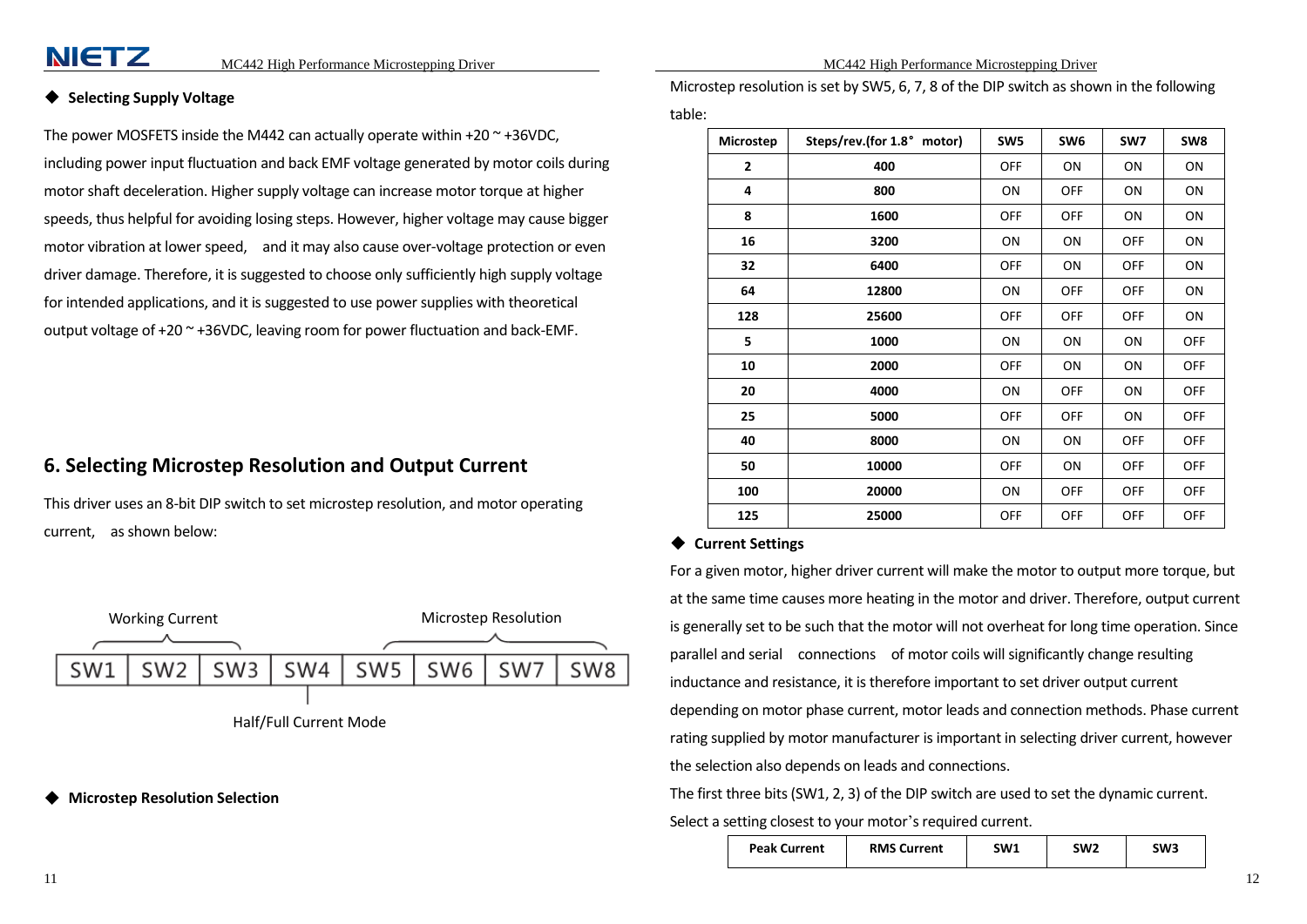## **NIETZ**

#### <span id="page-6-0"></span>**Selecting Supply Voltage**

The power MOSFETS inside the M442 can actually operate within  $+20$   $\sim$   $+36$ VDC, including power input fluctuation and back EMF voltage generated by motor coils during motor shaft deceleration. Higher supply voltage can increase motor torque at higher speeds, thus helpful for avoiding losing steps. However, higher voltage may cause bigger motor vibration at lower speed, and it may also cause over-voltage protection or even driver damage. Therefore, it is suggested to choose only sufficiently high supply voltage for intended applications, and it is suggested to use power supplies with theoretical output voltage of  $+20$   $\sim$   $+36$ VDC, leaving room for power fluctuation and back-EMF.

#### <span id="page-6-1"></span>**6. Selecting Microstep Resolution and Output Current**

This driver uses an 8-bit DIP switch to set microstep resolution, and motor operating current, as shown below:



Half/Full Current Mode

<span id="page-6-2"></span>**Microstep Resolution Selection** 

Microstep resolution is set by SW5, 6, 7, 8 of the DIP switch as shown in the following table:

| Microstep      | Steps/rev.(for 1.8° motor) | SW <sub>5</sub> | SW <sub>6</sub> | SW7        | SW8        |
|----------------|----------------------------|-----------------|-----------------|------------|------------|
| $\overline{2}$ | 400                        | <b>OFF</b>      | ON              | ON         | ON         |
| 4              | 800                        | ON              | <b>OFF</b>      | ON         | ON         |
| 8              | 1600                       | <b>OFF</b>      | <b>OFF</b>      | ON         | ON         |
| 16             | 3200                       | ON              | ON              | <b>OFF</b> | ΟN         |
| 32             | 6400                       | <b>OFF</b>      | ON              | <b>OFF</b> | ON         |
| 64             | 12800                      | ON              | <b>OFF</b>      | <b>OFF</b> | ON         |
| 128            | 25600                      | <b>OFF</b>      | <b>OFF</b>      | OFF        | ON         |
| 5              | 1000                       | ON              | ON              | ON         | OFF        |
| 10             | 2000                       | <b>OFF</b>      | ON              | ON         | <b>OFF</b> |
| 20             | 4000                       | ON              | <b>OFF</b>      | ON         | <b>OFF</b> |
| 25             | 5000                       | <b>OFF</b>      | <b>OFF</b>      | ON         | <b>OFF</b> |
| 40             | 8000                       | ON              | ON              | <b>OFF</b> | <b>OFF</b> |
| 50             | 10000                      | <b>OFF</b>      | ON              | <b>OFF</b> | OFF        |
| 100            | 20000                      | ON              | <b>OFF</b>      | <b>OFF</b> | <b>OFF</b> |
| 125            | 25000                      | <b>OFF</b>      | <b>OFF</b>      | <b>OFF</b> | OFF        |

#### <span id="page-6-3"></span>◆ **Current Settings**

For a given motor, higher driver current will make the motor to output more torque, but at the same time causes more heating in the motor and driver. Therefore, output current is generally set to be such that the motor will not overheat for long time operation. Since parallel and serial connections of motor coils will significantly change resulting inductance and resistance, it is therefore important to set driver output current depending on motor phase current, motor leads and connection methods. Phase current rating supplied by motor manufacturer is important in selecting driver current, however the selection also depends on leads and connections.

The first three bits (SW1, 2, 3) of the DIP switch are used to set the dynamic current. Select a setting closest to your motor's required current.

|  | <b>Peak Current</b> | <b>RMS Current</b> | SW1 | SW2 | SW3 |
|--|---------------------|--------------------|-----|-----|-----|
|--|---------------------|--------------------|-----|-----|-----|